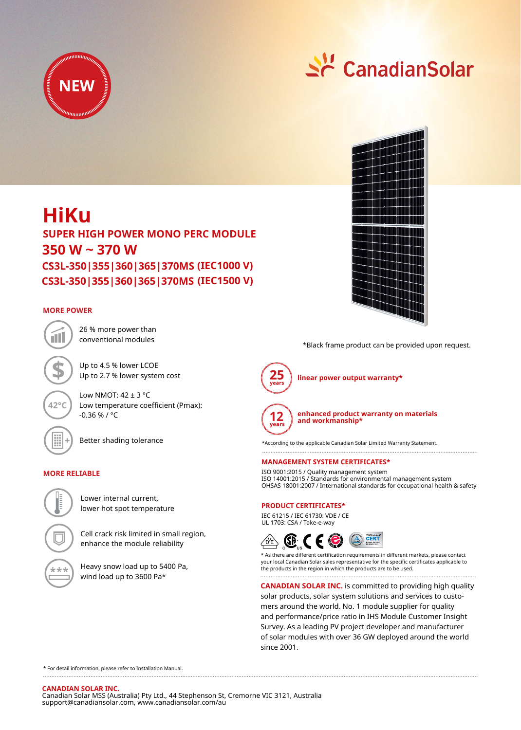



# **HiKu 350 W ~ 370 W SUPER HIGH POWER MONO PERC MODULE**

**(IEC1000 V) CS3L-350|355|360|365|370MS (IEC1500 V) CS3L-350|355|360|365|370MS**

# **MORE POWER**



26 % more power than conventional modules

Up to 4.5 % lower LCOE Up to 2.7 % lower system cost

Low NMOT:  $42 \pm 3$  °C Low temperature coefficient (Pmax): -0.36 % / °C



Better shading tolerance

# **MORE RELIABLE**



Lower internal current, lower hot spot temperature

Cell crack risk limited in small region, enhance the module reliability

Heavy snow load up to 5400 Pa, wind load up to 3600 Pa\*



\*Black frame product can be provided upon request.



**linear power output warranty\***



**enhanced product warranty on materials and workmanship\***

\*According to the applicable Canadian Solar Limited Warranty Statement.

## **MANAGEMENT SYSTEM CERTIFICATES\***

ISO 9001:2015 / Quality management system ISO 14001:2015 / Standards for environmental management system OHSAS 18001:2007 / International standards for occupational health & safety

### **PRODUCT CERTIFICATES\***

IEC 61215 / IEC 61730: VDE / CE UL 1703: CSA / Take-e-way



\* As there are different certification requirements in different markets, please contact your local Canadian Solar sales representative for the specific certificates applicable to the products in the region in which the products are to be used.

**CANADIAN SOLAR INC.** is committed to providing high quality solar products, solar system solutions and services to customers around the world. No. 1 module supplier for quality and performance/price ratio in IHS Module Customer Insight Survey. As a leading PV project developer and manufacturer of solar modules with over 36 GW deployed around the world since 2001.

\* For detail information, please refer to Installation Manual.